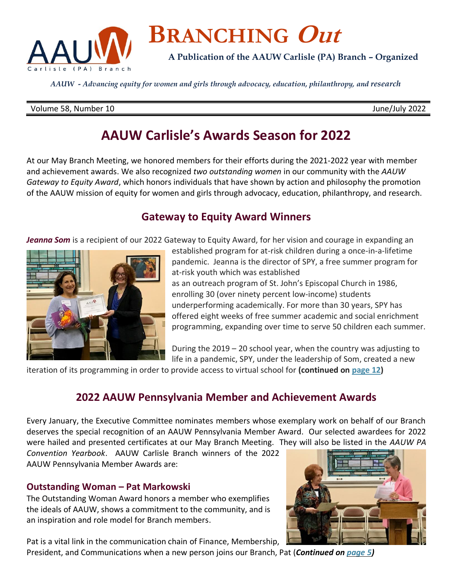

# **BRANCHING Out**

**A Publication of the AAUW Carlisle (PA) Branch – Organized** 

*AAUW - Advancing equity for women and girls through advocacy, education, philanthropy, and research*

#### Volume 58, Number 10 June/July 2022

# **AAUW Carlisle's Awards Season for 2022**

At our May Branch Meeting, we honored members for their efforts during the 2021-2022 year with member and achievement awards. We also recognized *two outstanding women* in our community with the *AAUW Gateway to Equity Award*, which honors individuals that have shown by action and philosophy the promotion of the AAUW mission of equity for women and girls through advocacy, education, philanthropy, and research.

## **Gateway to Equity Award Winners**

*Jeanna Som* is a recipient of our 2022 Gateway to Equity Award, for her vision and courage in expanding an



established program for at-risk children during a once-in-a-lifetime pandemic. Jeanna is the director of SPY, a free summer program for at-risk youth which was established as an outreach program of St. John's Episcopal Church in 1986, enrolling 30 (over ninety percent low-income) students underperforming academically. For more than 30 years, SPY has offered eight weeks of free summer academic and social enrichment programming, expanding over time to serve 50 children each summer.

During the 2019 – 20 school year, when the country was adjusting to life in a pandemic, SPY, under the leadership of Som, created a new

iteration of its programming in order to provide access to virtual school for **(continued o[n page 12\)](#page-11-0)**

# **2022 AAUW Pennsylvania Member and Achievement Awards**

Every January, the Executive Committee nominates members whose exemplary work on behalf of our Branch deserves the special recognition of an AAUW Pennsylvania Member Award. Our selected awardees for 2022 were hailed and presented certificates at our May Branch Meeting. They will also be listed in the *AAUW PA* 

*Convention Yearbook*. AAUW Carlisle Branch winners of the 2022 AAUW Pennsylvania Member Awards are:

## **Outstanding Woman – Pat Markowski**

The Outstanding Woman Award honors a member who exemplifies the ideals of AAUW, shows a commitment to the community, and is an inspiration and role model for Branch members.

Pat is a vital link in the communication chain of Finance, Membership,

President, and Communications when a new person joins our Branch, Pat (*Continued on [page](#page-4-0) 5)*

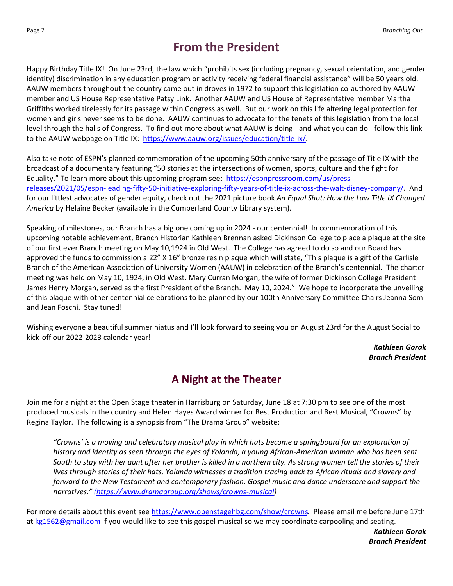# **From the President**

Happy Birthday Title IX! On June 23rd, the law which "prohibits sex (including pregnancy, sexual orientation, and gender identity) discrimination in any education program or activity receiving federal financial assistance" will be 50 years old. AAUW members throughout the country came out in droves in 1972 to support this legislation co-authored by AAUW member and US House Representative Patsy Link. Another AAUW and US House of Representative member Martha Griffiths worked tirelessly for its passage within Congress as well. But our work on this life altering legal protection for women and girls never seems to be done. AAUW continues to advocate for the tenets of this legislation from the local level through the halls of Congress. To find out more about what AAUW is doing - and what you can do - follow this link to the AAUW webpage on Title IX: [https://www.aauw.org/issues/education/title-ix/.](https://www.aauw.org/issues/education/title-ix/)

Also take note of ESPN's planned commemoration of the upcoming 50th anniversary of the passage of Title IX with the broadcast of a documentary featuring "50 stories at the intersections of women, sports, culture and the fight for Equality." To learn more about this upcoming program see: [https://espnpressroom.com/us/press](https://espnpressroom.com/us/press-releases/2021/05/espn-leading-fifty-50-initiative-exploring-fifty-years-of-title-ix-across-the-walt-disney-company/)[releases/2021/05/espn-leading-fifty-50-initiative-exploring-fifty-years-of-title-ix-across-the-walt-disney-company/.](https://espnpressroom.com/us/press-releases/2021/05/espn-leading-fifty-50-initiative-exploring-fifty-years-of-title-ix-across-the-walt-disney-company/) And for our littlest advocates of gender equity, check out the 2021 picture book *An Equal Shot: How the Law Title IX Changed America* by Helaine Becker (available in the Cumberland County Library system).

Speaking of milestones, our Branch has a big one coming up in 2024 - our centennial! In commemoration of this upcoming notable achievement, Branch Historian Kathleen Brennan asked Dickinson College to place a plaque at the site of our first ever Branch meeting on May 10,1924 in Old West. The College has agreed to do so and our Board has approved the funds to commission a 22" X 16" bronze resin plaque which will state, "This plaque is a gift of the Carlisle Branch of the American Association of University Women (AAUW) in celebration of the Branch's centennial. The charter meeting was held on May 10, 1924, in Old West. Mary Curran Morgan, the wife of former Dickinson College President James Henry Morgan, served as the first President of the Branch. May 10, 2024." We hope to incorporate the unveiling of this plaque with other centennial celebrations to be planned by our 100th Anniversary Committee Chairs Jeanna Som and Jean Foschi. Stay tuned!

Wishing everyone a beautiful summer hiatus and I'll look forward to seeing you on August 23rd for the August Social to kick-off our 2022-2023 calendar year!

> *Kathleen Gorak Branch President*

# <span id="page-1-0"></span>**A Night at the Theater**

Join me for a night at the Open Stage theater in Harrisburg on Saturday, June 18 at 7:30 pm to see one of the most produced musicals in the country and Helen Hayes Award winner for Best Production and Best Musical, "Crowns" by Regina Taylor. The following is a synopsis from "The Drama Group" website:

"Crowns' is a moving and celebratory musical play in which hats become a springboard for an exploration of history and identity as seen through the eyes of Yolanda, a young African-American woman who has been sent South to stay with her aunt after her brother is killed in a northern city. As strong women tell the stories of their lives through stories of their hats, Yolanda witnesses a tradition tracing back to African rituals and slavery and *forward to the New Testament and contemporary fashion. Gospel music and dance underscore and support the narratives." [\(https://www.dramagroup.org/shows/crowns-musical\)](https://www.dramagroup.org/shows/crowns-musical)*

For more details about this event see [https://www.openstagehbg.com/show/crowns.](https://www.openstagehbg.com/show/crowns) Please email me before June 17th at [kg1562@gmail.com](mailto:kg1562@gmail.com) if you would like to see this gospel musical so we may coordinate carpooling and seating.

> *Kathleen Gorak Branch President*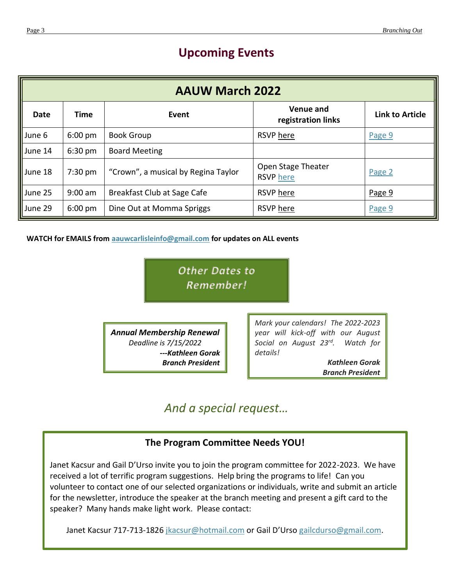# **Upcoming Events**

| <b>AAUW March 2022</b> |                   |                                     |                                        |                        |
|------------------------|-------------------|-------------------------------------|----------------------------------------|------------------------|
| Date                   | Time              | Event                               | <b>Venue and</b><br>registration links | <b>Link to Article</b> |
| $\parallel$ June 6     | 6:00 pm           | <b>Book Group</b>                   | RSVP here                              | Page 9                 |
| June 14                | $6:30 \text{ pm}$ | <b>Board Meeting</b>                |                                        |                        |
| June 18                | $7:30 \text{ pm}$ | "Crown", a musical by Regina Taylor | Open Stage Theater<br><b>RSVP</b> here | Page 2                 |
| June 25                | $9:00$ am         | Breakfast Club at Sage Cafe         | RSVP here                              | Page 9                 |
| June 29                | $6:00 \text{ pm}$ | Dine Out at Momma Spriggs           | RSVP here                              | Page 9                 |

**WATCH for EMAILS from [aauwcarlisleinfo@gmail.com](mailto:aauwcarlisleinfo@gmail.com) for updates on ALL events** 

*Other Dates to Remember!*

*Annual Membership Renewal Deadline is 7/15/2022 ---Kathleen Gorak Branch President* *Mark your calendars! The 2022-2023 year will kick-off with our August Social on August 23rd. Watch for details!*

> *Kathleen Gorak Branch President*

# *And a special request…*

## **The Program Committee Needs YOU!**

Janet Kacsur and Gail D'Urso invite you to join the program committee for 2022-2023. We have received a lot of terrific program suggestions. Help bring the programs to life! Can you volunteer to contact one of our selected organizations or individuals, write and submit an article for the newsletter, introduce the speaker at the branch meeting and present a gift card to the speaker? Many hands make light work. Please contact:

Janet Kacsur 717-713-1826 [jkacsur@hotmail.com](mailto:jkacsur@hotmail.com) or Gail D'Urso [gailcdurso@gmail.com.](mailto:gailcdurso@gmail.com)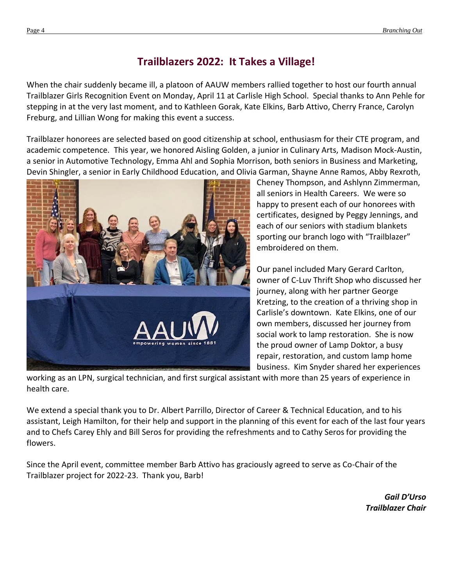# **Trailblazers 2022: It Takes a Village!**

When the chair suddenly became ill, a platoon of AAUW members rallied together to host our fourth annual Trailblazer Girls Recognition Event on Monday, April 11 at Carlisle High School. Special thanks to Ann Pehle for stepping in at the very last moment, and to Kathleen Gorak, Kate Elkins, Barb Attivo, Cherry France, Carolyn Freburg, and Lillian Wong for making this event a success.

Trailblazer honorees are selected based on good citizenship at school, enthusiasm for their CTE program, and academic competence. This year, we honored Aisling Golden, a junior in Culinary Arts, Madison Mock-Austin, a senior in Automotive Technology, Emma Ahl and Sophia Morrison, both seniors in Business and Marketing, Devin Shingler, a senior in Early Childhood Education, and Olivia Garman, Shayne Anne Ramos, Abby Rexroth,



Cheney Thompson, and Ashlynn Zimmerman, all seniors in Health Careers. We were so happy to present each of our honorees with certificates, designed by Peggy Jennings, and each of our seniors with stadium blankets sporting our branch logo with "Trailblazer" embroidered on them.

Our panel included Mary Gerard Carlton, owner of C-Luv Thrift Shop who discussed her journey, along with her partner George Kretzing, to the creation of a thriving shop in Carlisle's downtown. Kate Elkins, one of our own members, discussed her journey from social work to lamp restoration. She is now the proud owner of Lamp Doktor, a busy repair, restoration, and custom lamp home business. Kim Snyder shared her experiences

working as an LPN, surgical technician, and first surgical assistant with more than 25 years of experience in health care.

We extend a special thank you to Dr. Albert Parrillo, Director of Career & Technical Education, and to his assistant, Leigh Hamilton, for their help and support in the planning of this event for each of the last four years and to Chefs Carey Ehly and Bill Seros for providing the refreshments and to Cathy Seros for providing the flowers.

Since the April event, committee member Barb Attivo has graciously agreed to serve as Co-Chair of the Trailblazer project for 2022-23. Thank you, Barb!

> *Gail D'Urso Trailblazer Chair*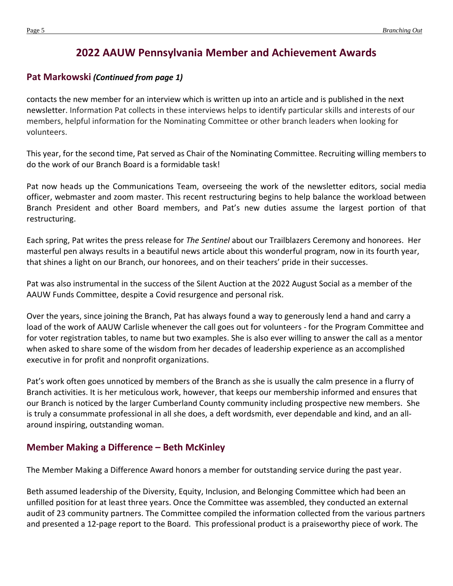# **2022 AAUW Pennsylvania Member and Achievement Awards**

## <span id="page-4-0"></span>**Pat Markowski** *(Continued from page 1)*

contacts the new member for an interview which is written up into an article and is published in the next newsletter. Information Pat collects in these interviews helps to identify particular skills and interests of our members, helpful information for the Nominating Committee or other branch leaders when looking for volunteers.

This year, for the second time, Pat served as Chair of the Nominating Committee. Recruiting willing members to do the work of our Branch Board is a formidable task!

Pat now heads up the Communications Team, overseeing the work of the newsletter editors, social media officer, webmaster and zoom master. This recent restructuring begins to help balance the workload between Branch President and other Board members, and Pat's new duties assume the largest portion of that restructuring.

Each spring, Pat writes the press release for *The Sentinel* about our Trailblazers Ceremony and honorees. Her masterful pen always results in a beautiful news article about this wonderful program, now in its fourth year, that shines a light on our Branch, our honorees, and on their teachers' pride in their successes.

Pat was also instrumental in the success of the Silent Auction at the 2022 August Social as a member of the AAUW Funds Committee, despite a Covid resurgence and personal risk.

Over the years, since joining the Branch, Pat has always found a way to generously lend a hand and carry a load of the work of AAUW Carlisle whenever the call goes out for volunteers - for the Program Committee and for voter registration tables, to name but two examples. She is also ever willing to answer the call as a mentor when asked to share some of the wisdom from her decades of leadership experience as an accomplished executive in for profit and nonprofit organizations.

Pat's work often goes unnoticed by members of the Branch as she is usually the calm presence in a flurry of Branch activities. It is her meticulous work, however, that keeps our membership informed and ensures that our Branch is noticed by the larger Cumberland County community including prospective new members. She is truly a consummate professional in all she does, a deft wordsmith, ever dependable and kind, and an allaround inspiring, outstanding woman.

## **Member Making a Difference – Beth McKinley**

The Member Making a Difference Award honors a member for outstanding service during the past year.

Beth assumed leadership of the Diversity, Equity, Inclusion, and Belonging Committee which had been an unfilled position for at least three years. Once the Committee was assembled, they conducted an external audit of 23 community partners. The Committee compiled the information collected from the various partners and presented a 12-page report to the Board. This professional product is a praiseworthy piece of work. The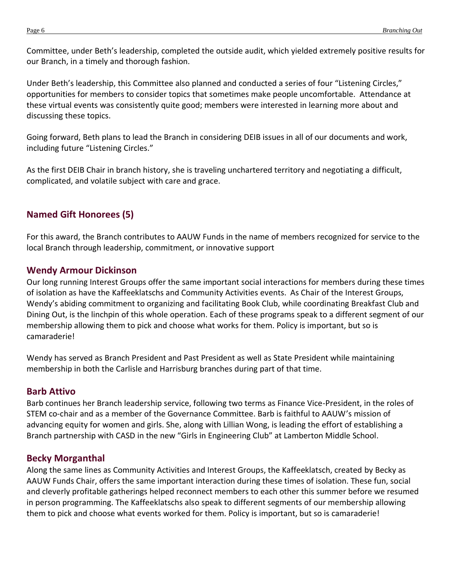Committee, under Beth's leadership, completed the outside audit, which yielded extremely positive results for our Branch, in a timely and thorough fashion.

Under Beth's leadership, this Committee also planned and conducted a series of four "Listening Circles," opportunities for members to consider topics that sometimes make people uncomfortable. Attendance at these virtual events was consistently quite good; members were interested in learning more about and discussing these topics.

Going forward, Beth plans to lead the Branch in considering DEIB issues in all of our documents and work, including future "Listening Circles."

As the first DEIB Chair in branch history, she is traveling unchartered territory and negotiating a difficult, complicated, and volatile subject with care and grace.

## **Named Gift Honorees (5)**

For this award, the Branch contributes to AAUW Funds in the name of members recognized for service to the local Branch through leadership, commitment, or innovative support

## **Wendy Armour Dickinson**

Our long running Interest Groups offer the same important social interactions for members during these times of isolation as have the Kaffeeklatschs and Community Activities events. As Chair of the Interest Groups, Wendy's abiding commitment to organizing and facilitating Book Club, while coordinating Breakfast Club and Dining Out, is the linchpin of this whole operation. Each of these programs speak to a different segment of our membership allowing them to pick and choose what works for them. Policy is important, but so is camaraderie!

Wendy has served as Branch President and Past President as well as State President while maintaining membership in both the Carlisle and Harrisburg branches during part of that time.

#### **Barb Attivo**

Barb continues her Branch leadership service, following two terms as Finance Vice-President, in the roles of STEM co-chair and as a member of the Governance Committee. Barb is faithful to AAUW's mission of advancing equity for women and girls. She, along with Lillian Wong, is leading the effort of establishing a Branch partnership with CASD in the new "Girls in Engineering Club" at Lamberton Middle School.

## **Becky Morganthal**

Along the same lines as Community Activities and Interest Groups, the Kaffeeklatsch, created by Becky as AAUW Funds Chair, offers the same important interaction during these times of isolation. These fun, social and cleverly profitable gatherings helped reconnect members to each other this summer before we resumed in person programming. The Kaffeeklatschs also speak to different segments of our membership allowing them to pick and choose what events worked for them. Policy is important, but so is camaraderie!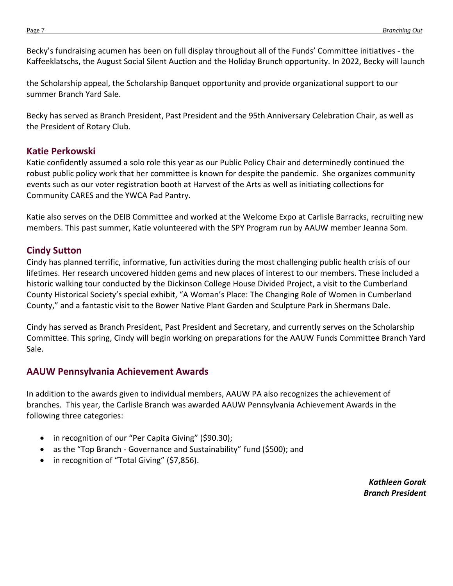Becky's fundraising acumen has been on full display throughout all of the Funds' Committee initiatives - the Kaffeeklatschs, the August Social Silent Auction and the Holiday Brunch opportunity. In 2022, Becky will launch

the Scholarship appeal, the Scholarship Banquet opportunity and provide organizational support to our summer Branch Yard Sale.

Becky has served as Branch President, Past President and the 95th Anniversary Celebration Chair, as well as the President of Rotary Club.

#### **Katie Perkowski**

Katie confidently assumed a solo role this year as our Public Policy Chair and determinedly continued the robust public policy work that her committee is known for despite the pandemic. She organizes community events such as our voter registration booth at Harvest of the Arts as well as initiating collections for Community CARES and the YWCA Pad Pantry.

Katie also serves on the DEIB Committee and worked at the Welcome Expo at Carlisle Barracks, recruiting new members. This past summer, Katie volunteered with the SPY Program run by AAUW member Jeanna Som.

## **Cindy Sutton**

Cindy has planned terrific, informative, fun activities during the most challenging public health crisis of our lifetimes. Her research uncovered hidden gems and new places of interest to our members. These included a historic walking tour conducted by the Dickinson College House Divided Project, a visit to the Cumberland County Historical Society's special exhibit, "A Woman's Place: The Changing Role of Women in Cumberland County," and a fantastic visit to the Bower Native Plant Garden and Sculpture Park in Shermans Dale.

Cindy has served as Branch President, Past President and Secretary, and currently serves on the Scholarship Committee. This spring, Cindy will begin working on preparations for the AAUW Funds Committee Branch Yard Sale.

## **AAUW Pennsylvania Achievement Awards**

In addition to the awards given to individual members, AAUW PA also recognizes the achievement of branches. This year, the Carlisle Branch was awarded AAUW Pennsylvania Achievement Awards in the following three categories:

- in recognition of our "Per Capita Giving" (\$90.30);
- as the "Top Branch Governance and Sustainability" fund (\$500); and
- in recognition of "Total Giving" (\$7,856).

*Kathleen Gorak Branch President*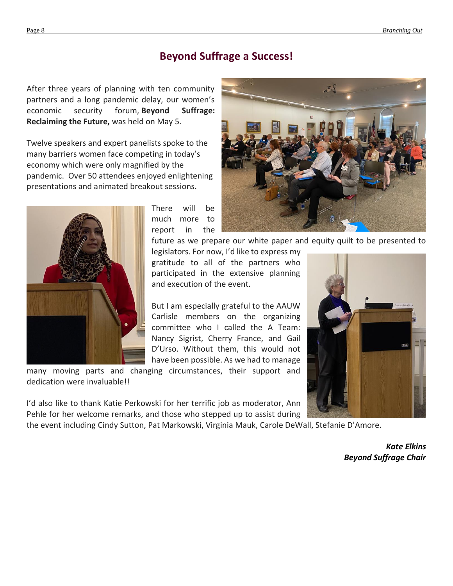## **Beyond Suffrage a Success!**

After three years of planning with ten community partners and a long pandemic delay, our women's economic security forum, **Beyond Suffrage: Reclaiming the Future,** was held on May 5.

Twelve speakers and expert panelists spoke to the many barriers women face competing in today's economy which were only magnified by the pandemic. Over 50 attendees enjoyed enlightening presentations and animated breakout sessions.



There will be much more to report in the



future as we prepare our white paper and equity quilt to be presented to legislators. For now, I'd like to express my

gratitude to all of the partners who participated in the extensive planning and execution of the event.

But I am especially grateful to the AAUW Carlisle members on the organizing committee who I called the A Team: Nancy Sigrist, Cherry France, and Gail D'Urso. Without them, this would not have been possible. As we had to manage

many moving parts and changing circumstances, their support and dedication were invaluable!!

I'd also like to thank Katie Perkowski for her terrific job as moderator, Ann Pehle for her welcome remarks, and those who stepped up to assist during

the event including Cindy Sutton, Pat Markowski, Virginia Mauk, Carole DeWall, Stefanie D'Amore.



*Kate Elkins Beyond Suffrage Chair*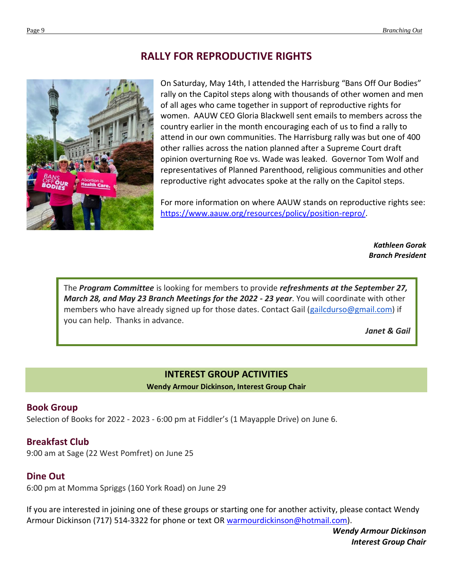## **RALLY FOR REPRODUCTIVE RIGHTS**



On Saturday, May 14th, I attended the Harrisburg "Bans Off Our Bodies" rally on the Capitol steps along with thousands of other women and men of all ages who came together in support of reproductive rights for women. AAUW CEO Gloria Blackwell sent emails to members across the country earlier in the month encouraging each of us to find a rally to attend in our own communities. The Harrisburg rally was but one of 400 other rallies across the nation planned after a Supreme Court draft opinion overturning Roe vs. Wade was leaked. Governor Tom Wolf and representatives of Planned Parenthood, religious communities and other reproductive right advocates spoke at the rally on the Capitol steps.

For more information on where AAUW stands on reproductive rights see: [https://www.aauw.org/resources/policy/position-repro/.](https://www.aauw.org/resources/policy/position-repro/)

> *Kathleen Gorak Branch President*

The *Program Committee* is looking for members to provide *refreshments at the September 27, March 28, and May 23 Branch Meetings for the 2022 - 23 year*. You will coordinate with other members who have already signed up for those dates. Contact Gail [\(gailcdurso@gmail.com\)](mailto:gailcdurso@gmail.com) if you can help. Thanks in advance.

*Janet & Gail*

#### **INTEREST GROUP ACTIVITIES**

**Wendy Armour Dickinson, Interest Group Chair**

## <span id="page-8-0"></span>**Book Group**

Selection of Books for 2022 - 2023 - 6:00 pm at Fiddler's (1 Mayapple Drive) on June 6.

## **Breakfast Club**

9:00 am at Sage (22 West Pomfret) on June 25

## **Dine Out**

6:00 pm at Momma Spriggs (160 York Road) on June 29

If you are interested in joining one of these groups or starting one for another activity, please contact Wendy Armour Dickinson (717) 514-3322 for phone or text OR [warmourdickinson@hotmail.com\)](mailto:warmourdickinson@hotmail.com).

> *Wendy Armour Dickinson Interest Group Chair*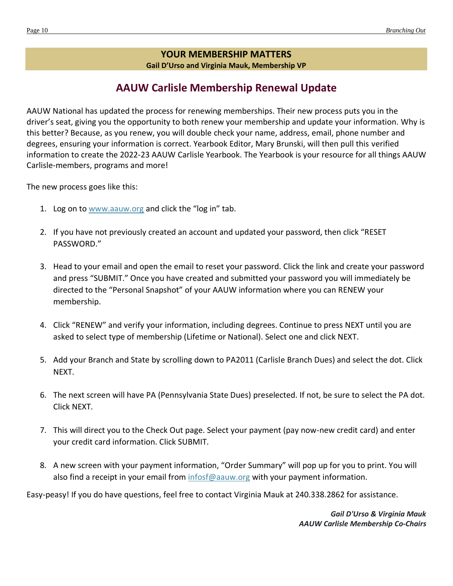#### **YOUR MEMBERSHIP MATTERS**

**Gail D'Urso and Virginia Mauk, Membership VP** 

# **AAUW Carlisle Membership Renewal Update**

AAUW National has updated the process for renewing memberships. Their new process puts you in the driver's seat, giving you the opportunity to both renew your membership and update your information. Why is this better? Because, as you renew, you will double check your name, address, email, phone number and degrees, ensuring your information is correct. Yearbook Editor, Mary Brunski, will then pull this verified information to create the 2022-23 AAUW Carlisle Yearbook. The Yearbook is your resource for all things AAUW Carlisle-members, programs and more!

The new process goes like this:

- 1. Log on to [www.aauw.org](http://www.aauw.org/) and click the "log in" tab.
- 2. If you have not previously created an account and updated your password, then click "RESET PASSWORD."
- 3. Head to your email and open the email to reset your password. Click the link and create your password and press "SUBMIT." Once you have created and submitted your password you will immediately be directed to the "Personal Snapshot" of your AAUW information where you can RENEW your membership.
- 4. Click "RENEW" and verify your information, including degrees. Continue to press NEXT until you are asked to select type of membership (Lifetime or National). Select one and click NEXT.
- 5. Add your Branch and State by scrolling down to PA2011 (Carlisle Branch Dues) and select the dot. Click NEXT.
- 6. The next screen will have PA (Pennsylvania State Dues) preselected. If not, be sure to select the PA dot. Click NEXT.
- 7. This will direct you to the Check Out page. Select your payment (pay now-new credit card) and enter your credit card information. Click SUBMIT.
- 8. A new screen with your payment information, "Order Summary" will pop up for you to print. You will also find a receipt in your email from [infosf@aauw.org](mailto:infosf@aauw.org) with your payment information.

Easy-peasy! If you do have questions, feel free to contact Virginia Mauk at 240.338.2862 for assistance.

*Gail D'Urso & Virginia Mauk AAUW Carlisle Membership Co-Chairs*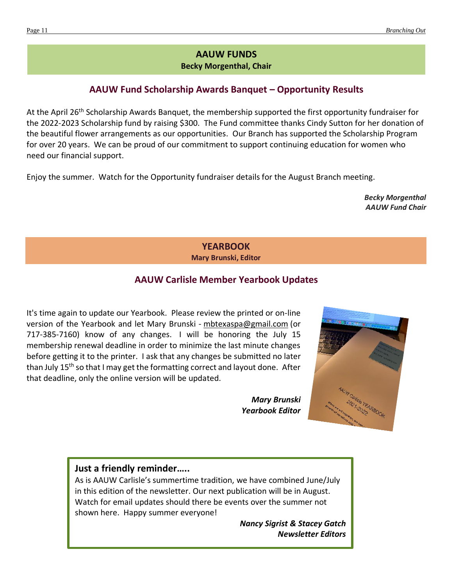## **AAUW FUNDS**

**Becky Morgenthal, Chair**

## **AAUW Fund Scholarship Awards Banquet – Opportunity Results**

At the April 26<sup>th</sup> Scholarship Awards Banquet, the membership supported the first opportunity fundraiser for the 2022-2023 Scholarship fund by raising \$300. The Fund committee thanks Cindy Sutton for her donation of the beautiful flower arrangements as our opportunities. Our Branch has supported the Scholarship Program for over 20 years. We can be proud of our commitment to support continuing education for women who need our financial support.

Enjoy the summer. Watch for the Opportunity fundraiser details for the August Branch meeting.

*Becky Morgenthal AAUW Fund Chair*

#### **YEARBOOK Mary Brunski, Editor**

## **AAUW Carlisle Member Yearbook Updates**

It's time again to update our Yearbook. Please review the printed or on-line version of the Yearbook and let Mary Brunski - [mbtexaspa@gmail.com](mailto:mbtexaspa@gmail.com) (or 717-385-7160) know of any changes. I will be honoring the July 15 membership renewal deadline in order to minimize the last minute changes before getting it to the printer. I ask that any changes be submitted no later than July 15<sup>th</sup> so that I may get the formatting correct and layout done. After that deadline, only the online version will be updated.

> *Mary Brunski Yearbook Editor*



#### **Just a friendly reminder…..**

As is AAUW Carlisle's summertime tradition, we have combined June/July in this edition of the newsletter. Our next publication will be in August. Watch for email updates should there be events over the summer not shown here. Happy summer everyone!

> *Nancy Sigrist & Stacey Gatch Newsletter Editors*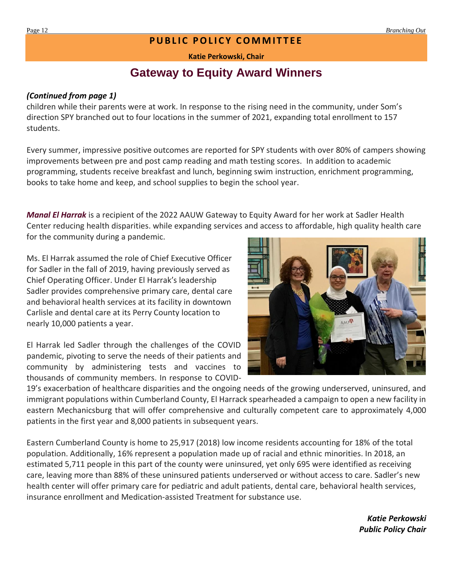## **PUBLIC POLICY COMMITTEE**

**Katie Perkowski, Chair**

# **Gateway to Equity Award Winners**

#### <span id="page-11-0"></span>*(Continued from page 1)*

children while their parents were at work. In response to the rising need in the community, under Som's direction SPY branched out to four locations in the summer of 2021, expanding total enrollment to 157 students.

Every summer, impressive positive outcomes are reported for SPY students with over 80% of campers showing improvements between pre and post camp reading and math testing scores. In addition to academic programming, students receive breakfast and lunch, beginning swim instruction, enrichment programming, books to take home and keep, and school supplies to begin the school year.

*Manal El Harrak* is a recipient of the 2022 AAUW Gateway to Equity Award for her work at Sadler Health Center reducing health disparities. while expanding services and access to affordable, high quality health care for the community during a pandemic.

Ms. El Harrak assumed the role of Chief Executive Officer for Sadler in the fall of 2019, having previously served as Chief Operating Officer. Under El Harrak's leadership Sadler provides comprehensive primary care, dental care and behavioral health services at its facility in downtown Carlisle and dental care at its Perry County location to nearly 10,000 patients a year.

El Harrak led Sadler through the challenges of the COVID pandemic, pivoting to serve the needs of their patients and community by administering tests and vaccines to thousands of community members. In response to COVID-



19's exacerbation of healthcare disparities and the ongoing needs of the growing underserved, uninsured, and immigrant populations within Cumberland County, El Harrack spearheaded a campaign to open a new facility in eastern Mechanicsburg that will offer comprehensive and culturally competent care to approximately 4,000 patients in the first year and 8,000 patients in subsequent years.

Eastern Cumberland County is home to 25,917 (2018) low income residents accounting for 18% of the total population. Additionally, 16% represent a population made up of racial and ethnic minorities. In 2018, an estimated 5,711 people in this part of the county were uninsured, yet only 695 were identified as receiving care, leaving more than 88% of these uninsured patients underserved or without access to care. Sadler's new health center will offer primary care for pediatric and adult patients, dental care, behavioral health services, insurance enrollment and Medication-assisted Treatment for substance use.

> *Katie Perkowski Public Policy Chair*